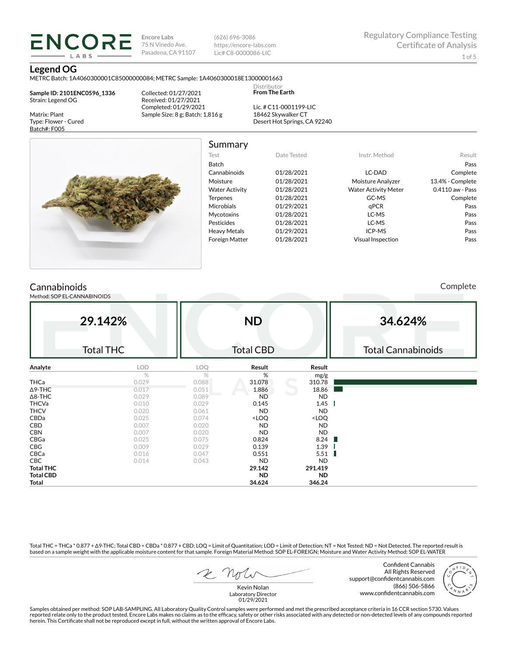(626) 696-3086 https://encore-labs.com Lic# C8-0000086-LIC

> Distributor **From The Earth**

#### **Legend OG**

Matrix: Plant Type: Flower - Cured Batch#: F005

METRC Batch: 1A4060300001C85000000084; METRC Sample: 1A4060300018E13000001663

**Sample ID: 2101ENC0596\_1336** Strain: Legend OG

**ENCORE** LABS

> Collected: 01/27/2021 Received: 01/27/2021 Completed: 01/29/2021 Sample Size: 8 g; Batch: 1,816 g

Lic. # C11-0001199-LIC 18462 Skywalker CT Desert Hot Springs, CA 92240



Summary

| Test                  | Date Tested | Instr. Method               | Result           |
|-----------------------|-------------|-----------------------------|------------------|
| <b>Batch</b>          |             |                             | Pass             |
| Cannabinoids          | 01/28/2021  | LC-DAD                      | Complete         |
| Moisture              | 01/28/2021  | Moisture Analyzer           | 13.4% - Complete |
| <b>Water Activity</b> | 01/28/2021  | <b>Water Activity Meter</b> | 0.4110 aw - Pass |
| <b>Terpenes</b>       | 01/28/2021  | GC-MS                       | Complete         |
| <b>Microbials</b>     | 01/29/2021  | qPCR                        | Pass             |
| <b>Mycotoxins</b>     | 01/28/2021  | LC-MS                       | Pass             |
| Pesticides            | 01/28/2021  | LC-MS                       | Pass             |
| <b>Heavy Metals</b>   | 01/29/2021  | ICP-MS                      | Pass             |
| <b>Foreign Matter</b> | 01/28/2021  | <b>Visual Inspection</b>    | Pass             |
|                       |             |                             |                  |

# **Cannabinoids**

Method: SOP EL-CANNABINOIDS

Complete

|                  | 29.142%          |            | <b>ND</b>                                                |                              | 34.624%                   |
|------------------|------------------|------------|----------------------------------------------------------|------------------------------|---------------------------|
|                  | <b>Total THC</b> |            | <b>Total CBD</b>                                         |                              | <b>Total Cannabinoids</b> |
| Analyte          | LOD              | <b>LOQ</b> | Result                                                   | Result                       |                           |
|                  | $\%$             | %          | %                                                        | mg/g                         |                           |
| THCa             | 0.029            | 0.088      | 31.078                                                   | 310.78                       |                           |
| $\Delta$ 9-THC   | 0.017            | 0.051      | 1.886                                                    | 18.86                        |                           |
| $\Delta$ 8-THC   | 0.029            | 0.089      | <b>ND</b>                                                | <b>ND</b>                    |                           |
| <b>THCVa</b>     | 0.010            | 0.029      | 0.145                                                    | 1.45                         |                           |
| <b>THCV</b>      | 0.020            | 0.061      | <b>ND</b>                                                | <b>ND</b>                    |                           |
| CBDa             | 0.025            | 0.074      | <loq< td=""><td><loq< td=""><td></td></loq<></td></loq<> | <loq< td=""><td></td></loq<> |                           |
| CBD              | 0.007            | 0.020      | <b>ND</b>                                                | <b>ND</b>                    |                           |
| <b>CBN</b>       | 0.007            | 0.020      | <b>ND</b>                                                | <b>ND</b>                    |                           |
| CBGa             | 0.025            | 0.075      | 0.824                                                    | 8.24                         |                           |
| CBG              | 0.009            | 0.029      | 0.139                                                    | 1.39                         |                           |
| CBCa             | 0.016            | 0.047      | 0.551                                                    | 5.51                         |                           |
| <b>CBC</b>       | 0.014            | 0.043      | <b>ND</b>                                                | <b>ND</b>                    |                           |
| <b>Total THC</b> |                  |            | 29.142                                                   | 291.419                      |                           |
| <b>Total CBD</b> |                  |            | <b>ND</b>                                                | <b>ND</b>                    |                           |
| Total            |                  |            | 34.624                                                   | 346.24                       |                           |

Total THC = THCa \* 0.877 + ∆9-THC; Total CBD = CBDa \* 0.877 + CBD; LOQ = Limit of Quantitation; LOD = Limit of Detection; NT = Not Tested; ND = Not Detected. The reported result is based on a sample weight with the applicable moisture content for that sample. Foreign Material Method: SOP EL-FOREIGN; Moisture and Water Activity Method: SOP EL-WATER

Confident Cannabis All Rights Reserved support@confidentcannabis.com (866) 506-5866 www.confidentcannabis.com



Samples obtained per method: SOP LAB-SAMPLING. All Laboratory Quality Control samples were performed and met the prescribed acceptance criteria in 16 CCR section 5730. Values reported relate only to the product tested. Encore Labs makes no claims as to the efficacy, safety or other risks associated with any detected or non-detected levels of any compounds reported<br>herein. This Certificate shall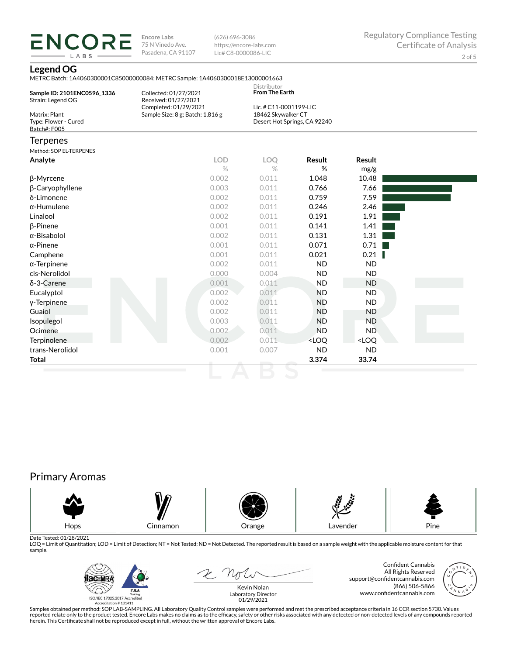(626) 696-3086 https://encore-labs.com Lic# C8-0000086-LIC

### **Legend OG**

**ENCORE** LABS

METRC Batch: 1A4060300001C85000000084; METRC Sample: 1A4060300018E13000001663

| Sample ID: 2101ENC0596 1336          | Collected: 01/27/2021                         | Distributor<br><b>From The Earth</b> |                              |        |  |
|--------------------------------------|-----------------------------------------------|--------------------------------------|------------------------------|--------|--|
| Strain: Legend OG                    | Received: 01/27/2021<br>Completed: 01/29/2021 | Lic. # C11-0001199-LIC               |                              |        |  |
| Matrix: Plant                        | Sample Size: 8 g; Batch: 1,816 g              | 18462 Skywalker CT                   |                              |        |  |
| Type: Flower - Cured<br>Batch#: F005 |                                               |                                      | Desert Hot Springs, CA 92240 |        |  |
| <b>Terpenes</b>                      |                                               |                                      |                              |        |  |
| Method: SOP EL-TERPENES              |                                               |                                      |                              |        |  |
| Analyte                              | <b>LOD</b>                                    | LOO                                  | Result                       | Result |  |
|                                      | $\%$                                          | $\%$                                 | %                            | mg/g   |  |
| β-Myrcene                            | 0.002                                         | 0.011                                | 1.048                        | 10.48  |  |
| β-Caryophyllene                      | 0.003                                         | 0.011                                | 0.766                        | 7.66   |  |
| $\overline{\lambda}$ limenano        | n nnh                                         | $\bigcap$ $\bigcap$ 11               | 0.750                        | 750    |  |

| δ-Limonene          | 0.002 | 0.011 | 0.759                                                    | 7.59                         |  |
|---------------------|-------|-------|----------------------------------------------------------|------------------------------|--|
| $\alpha$ -Humulene  | 0.002 | 0.011 | 0.246                                                    | 2.46                         |  |
| Linalool            | 0.002 | 0.011 | 0.191                                                    | 1.91                         |  |
| $\beta$ -Pinene     | 0.001 | 0.011 | 0.141                                                    | 1.41                         |  |
| α-Bisabolol         | 0.002 | 0.011 | 0.131                                                    | 1.31                         |  |
| $\alpha$ -Pinene    | 0.001 | 0.011 | 0.071                                                    | 0.71                         |  |
| Camphene            | 0.001 | 0.011 | 0.021                                                    | 0.21                         |  |
| $\alpha$ -Terpinene | 0.002 | 0.011 | ND.                                                      | ND.                          |  |
| cis-Nerolidol       | 0.000 | 0.004 | ND.                                                      | ND.                          |  |
| $\delta$ -3-Carene  | 0.001 | 0.011 | <b>ND</b>                                                | ND.                          |  |
| Eucalyptol          | 0.002 | 0.011 | <b>ND</b>                                                | ND.                          |  |
| y-Terpinene         | 0.002 | 0.011 | <b>ND</b>                                                | ND.                          |  |
| Guaiol              | 0.002 | 0.011 | <b>ND</b>                                                | ND.                          |  |
| Isopulegol          | 0.003 | 0.011 | ND.                                                      | ND.                          |  |
| Ocimene             | 0.002 | 0.011 | ND.                                                      | ND.                          |  |
| Terpinolene         | 0.002 | 0.011 | <loq< th=""><th><loq< th=""><th></th></loq<></th></loq<> | <loq< th=""><th></th></loq<> |  |
| trans-Nerolidol     | 0.001 | 0.007 | <b>ND</b>                                                | ND                           |  |
| Total               |       |       | 3.374                                                    | 33.74                        |  |

# Primary Aromas



Date Tested: 01/28/2021<br>LOQ = Limit of Quantitation; LOD = Limit of Detection; NT = Not Tested; ND = Not Detected. The reported result is based on a sample weight with the applicable moisture content for that sample.



2 Not

Confident Cannabis All Rights Reserved support@confidentcannabis.com (866) 506-5866 www.confidentcannabis.com

Kevin Nolan Laboratory Director 01/29/2021

Samples obtained per method: SOP LAB-SAMPLING. All Laboratory Quality Control samples were performed and met the prescribed acceptance criteria in 16 CCR section 5730. Values reported relate only to the product tested. Encore Labs makes no claims as to the efficacy, safety or other risks associated with any detected or non-detected levels of any compounds reported<br>herein. This Certificate shall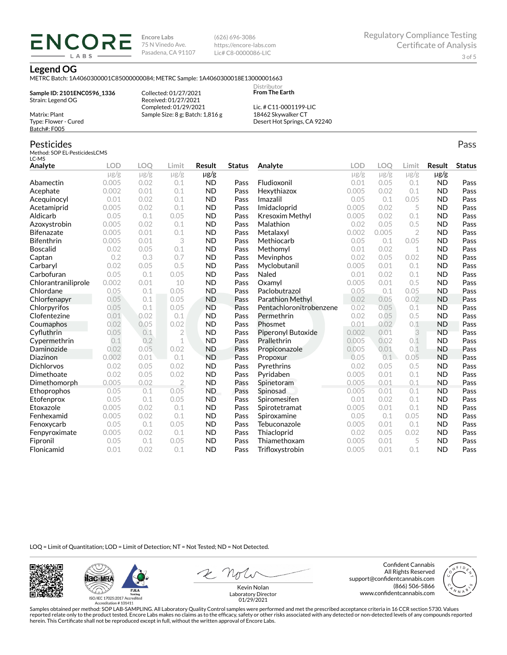(626) 696-3086 https://encore-labs.com Lic# C8-0000086-LIC

#### **Legend OG**

METRC Batch: 1A4060300001C85000000084; METRC Sample: 1A4060300018E13000001663

**Sample ID: 2101ENC0596\_1336** Strain: Legend OG Matrix: Plant

ENCOR LABS

> Collected: 01/27/2021 Received: 01/27/2021 Completed: 01/29/2021 Sample Size: 8 g; Batch: 1,816 g

Lic. # C11-0001199-LIC 18462 Skywalker CT Desert Hot Springs, CA 92240

Distributor **From The Earth**

## Pesticides

Type: Flower - Cured Batch#: F005

Method: SOP EL-PesticidesLCMS LC-MS

| Analyte             | <b>LOD</b> | LOO       | Limit          | <b>Result</b> | <b>Status</b> | Analyte                 | LOD       | LOO       | Limit          | Result    | <b>Status</b> |
|---------------------|------------|-----------|----------------|---------------|---------------|-------------------------|-----------|-----------|----------------|-----------|---------------|
|                     | $\mu$ g/g  | $\mu$ g/g | $\mu$ g/g      | µg/g          |               |                         | $\mu$ g/g | $\mu$ g/g | $\mu$ g/g      | $\mu$ g/g |               |
| Abamectin           | 0.005      | 0.02      | 0.1            | <b>ND</b>     | Pass          | Fludioxonil             | 0.01      | 0.05      | 0.1            | <b>ND</b> | Pass          |
| Acephate            | 0.002      | 0.01      | 0.1            | <b>ND</b>     | Pass          | Hexythiazox             | 0.005     | 0.02      | 0.1            | <b>ND</b> | Pass          |
| Acequinocyl         | 0.01       | 0.02      | 0.1            | <b>ND</b>     | Pass          | Imazalil                | 0.05      | 0.1       | 0.05           | <b>ND</b> | Pass          |
| Acetamiprid         | 0.005      | 0.02      | 0.1            | <b>ND</b>     | Pass          | Imidacloprid            | 0.005     | 0.02      | 5              | <b>ND</b> | Pass          |
| Aldicarb            | 0.05       | 0.1       | 0.05           | <b>ND</b>     | Pass          | Kresoxim Methyl         | 0.005     | 0.02      | 0.1            | <b>ND</b> | Pass          |
| Azoxystrobin        | 0.005      | 0.02      | 0.1            | <b>ND</b>     | Pass          | Malathion               | 0.02      | 0.05      | 0.5            | <b>ND</b> | Pass          |
| <b>Bifenazate</b>   | 0.005      | 0.01      | 0.1            | <b>ND</b>     | Pass          | Metalaxyl               | 0.002     | 0.005     | $\overline{2}$ | <b>ND</b> | Pass          |
| <b>Bifenthrin</b>   | 0.005      | 0.01      | 3              | <b>ND</b>     | Pass          | Methiocarb              | 0.05      | 0.1       | 0.05           | <b>ND</b> | Pass          |
| <b>Boscalid</b>     | 0.02       | 0.05      | 0.1            | <b>ND</b>     | Pass          | Methomyl                | 0.01      | 0.02      | 1              | <b>ND</b> | Pass          |
| Captan              | 0.2        | 0.3       | 0.7            | <b>ND</b>     | Pass          | Mevinphos               | 0.02      | 0.05      | 0.02           | <b>ND</b> | Pass          |
| Carbaryl            | 0.02       | 0.05      | 0.5            | <b>ND</b>     | Pass          | Myclobutanil            | 0.005     | 0.01      | 0.1            | <b>ND</b> | Pass          |
| Carbofuran          | 0.05       | 0.1       | 0.05           | <b>ND</b>     | Pass          | Naled                   | 0.01      | 0.02      | 0.1            | <b>ND</b> | Pass          |
| Chlorantraniliprole | 0.002      | 0.01      | 10             | <b>ND</b>     | Pass          | Oxamvl                  | 0.005     | 0.01      | 0.5            | <b>ND</b> | Pass          |
| Chlordane           | 0.05       | 0.1       | 0.05           | <b>ND</b>     | Pass          | Paclobutrazol           | 0.05      | 0.1       | 0.05           | <b>ND</b> | Pass          |
| Chlorfenapyr        | 0.05       | 0.1       | 0.05           | <b>ND</b>     | Pass          | Parathion Methyl        | 0.02      | 0.05      | 0.02           | <b>ND</b> | Pass          |
| Chlorpyrifos        | 0.05       | 0.1       | 0.05           | <b>ND</b>     | Pass          | Pentachloronitrobenzene | 0.02      | 0.05      | 0.1            | <b>ND</b> | Pass          |
| Clofentezine        | 0.01       | 0.02      | 0.1            | <b>ND</b>     | Pass          | Permethrin              | 0.02      | 0.05      | 0.5            | <b>ND</b> | Pass          |
| Coumaphos           | 0.02       | 0.05      | 0.02           | <b>ND</b>     | Pass          | Phosmet                 | 0.01      | 0.02      | 0.1            | <b>ND</b> | Pass          |
| Cyfluthrin          | 0.05       | 0.1       | $\overline{2}$ | <b>ND</b>     | Pass          | Piperonyl Butoxide      | 0.002     | 0.01      | 3              | <b>ND</b> | Pass          |
| Cypermethrin        | 0.1        | 0.2       | $\mathbf 1$    | <b>ND</b>     | Pass          | Prallethrin             | 0.005     | 0.02      | 0.1            | <b>ND</b> | Pass          |
| Daminozide          | 0.02       | 0.05      | 0.02           | <b>ND</b>     | Pass          | Propiconazole           | 0.005     | 0.01      | 0.1            | <b>ND</b> | Pass          |
| Diazinon            | 0.002      | 0.01      | 0.1            | <b>ND</b>     | Pass          | Propoxur                | 0.05      | 0.1       | 0.05           | <b>ND</b> | Pass          |
| <b>Dichlorvos</b>   | 0.02       | 0.05      | 0.02           | <b>ND</b>     | Pass          | Pyrethrins              | 0.02      | 0.05      | 0.5            | <b>ND</b> | Pass          |
| Dimethoate          | 0.02       | 0.05      | 0.02           | <b>ND</b>     | Pass          | Pyridaben               | 0.005     | 0.01      | 0.1            | <b>ND</b> | Pass          |
| Dimethomorph        | 0.005      | 0.02      | $\overline{2}$ | <b>ND</b>     | Pass          | Spinetoram              | 0.005     | 0.01      | 0.1            | <b>ND</b> | Pass          |
| Ethoprophos         | 0.05       | 0.1       | 0.05           | <b>ND</b>     | Pass          | Spinosad                | 0.005     | 0.01      | 0.1            | <b>ND</b> | Pass          |
| Etofenprox          | 0.05       | 0.1       | 0.05           | <b>ND</b>     | Pass          | Spiromesifen            | 0.01      | 0.02      | 0.1            | <b>ND</b> | Pass          |
| Etoxazole           | 0.005      | 0.02      | 0.1            | <b>ND</b>     | Pass          | Spirotetramat           | 0.005     | 0.01      | 0.1            | <b>ND</b> | Pass          |
| Fenhexamid          | 0.005      | 0.02      | 0.1            | <b>ND</b>     | Pass          | Spiroxamine             | 0.05      | 0.1       | 0.05           | <b>ND</b> | Pass          |
| Fenoxycarb          | 0.05       | 0.1       | 0.05           | <b>ND</b>     | Pass          | Tebuconazole            | 0.005     | 0.01      | 0.1            | <b>ND</b> | Pass          |
| Fenpyroximate       | 0.005      | 0.02      | 0.1            | <b>ND</b>     | Pass          | Thiacloprid             | 0.02      | 0.05      | 0.02           | <b>ND</b> | Pass          |
| Fipronil            | 0.05       | 0.1       | 0.05           | <b>ND</b>     | Pass          | Thiamethoxam            | 0.005     | 0.01      | 5              | <b>ND</b> | Pass          |
| Flonicamid          | 0.01       | 0.02      | 0.1            | <b>ND</b>     | Pass          | Trifloxystrobin         | 0.005     | 0.01      | 0.1            | <b>ND</b> | Pass          |

LOQ = Limit of Quantitation; LOD = Limit of Detection; NT = Not Tested; ND = Not Detected.





Confident Cannabis All Rights Reserved support@confidentcannabis.com (866) 506-5866 www.confidentcannabis.com



Kevin Nolan Laboratory Director 01/29/2021

Samples obtained per method: SOP LAB-SAMPLING. All Laboratory Quality Control samples were performed and met the prescribed acceptance criteria in 16 CCR section 5730. Values reported relate only to the product tested. Encore Labs makes no claims as to the efficacy, safety or other risks associated with any detected or non-detected levels of any compounds reported<br>herein. This Certificate shall

Pass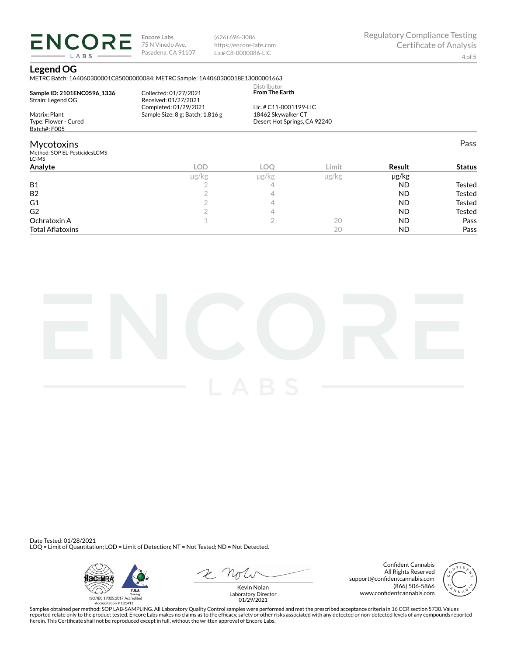(626) 696-3086 https://encore-labs.com Lic# C8-0000086-LIC

Pass

## **Legend OG**

LABS

METRC Batch: 1A4060300001C85000000084; METRC Sample: 1A4060300018E13000001663

| Sample ID: 2101ENC0596 1336<br>Strain: Legend OG | Collected: 01/27/2021<br>Received: 01/27/2021 | Distributor<br><b>From The Earth</b> |  |
|--------------------------------------------------|-----------------------------------------------|--------------------------------------|--|
|                                                  | Completed: 01/29/2021                         | Lic. # C11-0001199-LIC               |  |
| Matrix: Plant                                    | Sample Size: 8 g; Batch: 1,816 g              | 18462 Skywalker CT                   |  |
| Type: Flower - Cured                             |                                               | Desert Hot Springs, CA 92240         |  |
| Batch#: F005                                     |                                               |                                      |  |
| <b>Mycotoxins</b>                                |                                               |                                      |  |
| Method: SOP EL-PesticidesLCMS<br>LC-MS           |                                               |                                      |  |

| ---                     |       |       |            |           |               |
|-------------------------|-------|-------|------------|-----------|---------------|
| Analyte                 | LOD   | LOC   | Limit      | Result    | <b>Status</b> |
|                         | µg/kg | µg/kg | $\mu$ g/kg | µg/kg     |               |
| <b>B1</b>               |       |       |            | <b>ND</b> | Tested        |
| B <sub>2</sub>          |       |       |            | <b>ND</b> | <b>Tested</b> |
| G1                      |       |       |            | <b>ND</b> | <b>Tested</b> |
| G <sub>2</sub>          |       |       |            | <b>ND</b> | <b>Tested</b> |
| Ochratoxin A            |       |       | 20         | <b>ND</b> | Pass          |
| <b>Total Aflatoxins</b> |       |       | 20         | <b>ND</b> | Pass          |



Date Tested: 01/28/2021 LOQ = Limit of Quantitation; LOD = Limit of Detection; NT = Not Tested; ND = Not Detected.



 $R$  Mr

Confident Cannabis All Rights Reserved support@confidentcannabis.com (866) 506-5866 www.confidentcannabis.com



Kevin Nolan Laboratory Director 01/29/2021

Samples obtained per method: SOP LAB-SAMPLING. All Laboratory Quality Control samples were performed and met the prescribed acceptance criteria in 16 CCR section 5730. Values reported relate only to the product tested. Encore Labs makes no claims as to the efficacy, safety or other risks associated with any detected or non-detected levels of any compounds reported<br>herein. This Certificate shall